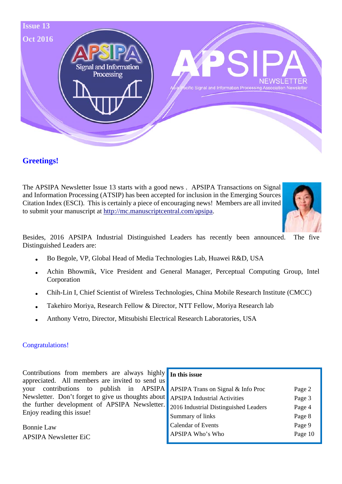

## **Greetings!**

The APSIPA Newsletter Issue 13 starts with a good news . APSIPA Transactions on Signal and Information Processing (ATSIP) has been accepted for inclusion in the Emerging Sources Citation Index (ESCI). This is certainly a piece of encouraging news! Members are all invited to submit your manuscript at http://mc.manuscriptcentral.com/apsipa.



Besides, 2016 APSIPA Industrial Distinguished Leaders has recently been announced. The five Distinguished Leaders are:

- Bo Begole, VP, Global Head of Media Technologies Lab, Huawei R&D, USA
- Achin Bhowmik, Vice President and General Manager, Perceptual Computing Group, Intel Corporation
- Chih-Lin I, Chief Scientist of Wireless Technologies, China Mobile Research Institute (CMCC)
- Takehiro Moriya, Research Fellow & Director, NTT Fellow, Moriya Research lab
- Anthony Vetro, Director, Mitsubishi Electrical Research Laboratories, USA

#### Congratulations!

Contributions from members are always highly appreciated. All members are invited to send us your contributions to publish in APSIPA Newsletter. Don't forget to give us thoughts about the further development of APSIPA Newsletter. Enjoy reading this issue!

Bonnie Law APSIPA Newsletter EiC

# **In this issue**

| APSIPA Trans on Signal & Info Proc    | Page 2  |
|---------------------------------------|---------|
| <b>APSIPA Industrial Activities</b>   | Page 3  |
| 2016 Industrial Distinguished Leaders | Page 4  |
| Summary of links                      | Page 8  |
| Calendar of Events                    | Page 9  |
| APSIPA Who's Who                      | Page 10 |
|                                       |         |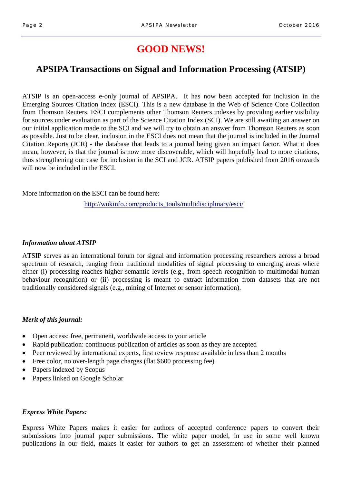# **GOOD NEWS!**

# **APSIPA Transactions on Signal and Information Processing (ATSIP)**

ATSIP is an open-access e-only journal of APSIPA. It has now been accepted for inclusion in the Emerging Sources Citation Index (ESCI). This is a new database in the Web of Science Core Collection from Thomson Reuters. ESCI complements other Thomson Reuters indexes by providing earlier visibility for sources under evaluation as part of the Science Citation Index (SCI). We are still awaiting an answer on our initial application made to the SCI and we will try to obtain an answer from Thomson Reuters as soon as possible. Just to be clear, inclusion in the ESCI does not mean that the journal is included in the Journal Citation Reports (JCR) - the database that leads to a journal being given an impact factor. What it does mean, however, is that the journal is now more discoverable, which will hopefully lead to more citations, thus strengthening our case for inclusion in the SCI and JCR. ATSIP papers published from 2016 onwards will now be included in the ESCI.

More information on the ESCI can be found here:

http://wokinfo.com/products\_tools/multidisciplinary/esci/

#### *Information about ATSIP*

ATSIP serves as an international forum for signal and information processing researchers across a broad spectrum of research, ranging from traditional modalities of signal processing to emerging areas where either (i) processing reaches higher semantic levels (e.g., from speech recognition to multimodal human behaviour recognition) or (ii) processing is meant to extract information from datasets that are not traditionally considered signals (e.g., mining of Internet or sensor information).

#### *Merit of this journal:*

- Open access: free, permanent, worldwide access to your article
- Rapid publication: continuous publication of articles as soon as they are accepted
- Peer reviewed by international experts, first review response available in less than 2 months
- Free color, no over-length page charges (flat \$600 processing fee)
- Papers indexed by Scopus
- Papers linked on Google Scholar

### *Express White Papers:*

Express White Papers makes it easier for authors of accepted conference papers to convert their submissions into journal paper submissions. The white paper model, in use in some well known publications in our field, makes it easier for authors to get an assessment of whether their planned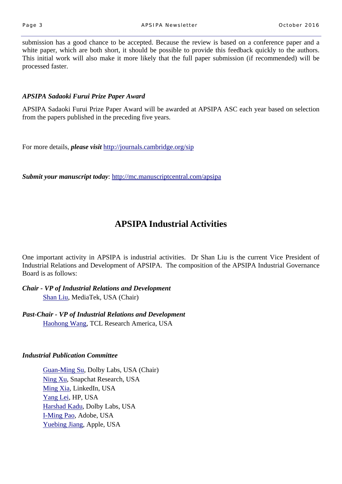submission has a good chance to be accepted. Because the review is based on a conference paper and a white paper, which are both short, it should be possible to provide this feedback quickly to the authors. This initial work will also make it more likely that the full paper submission (if recommended) will be processed faster.

### *APSIPA Sadaoki Furui Prize Paper Award*

APSIPA Sadaoki Furui Prize Paper Award will be awarded at APSIPA ASC each year based on selection from the papers published in the preceding five years.

For more details, *please visit* http://journals.cambridge.org/sip

*Submit your manuscript today*: http://mc.manuscriptcentral.com/apsipa

# **APSIPA Industrial Activities**

One important activity in APSIPA is industrial activities. Dr Shan Liu is the current Vice President of Industrial Relations and Development of APSIPA. The composition of the APSIPA Industrial Governance Board is as follows:

*Chair - VP of Industrial Relations and Development*  Shan Liu, MediaTek, USA (Chair)

*Past-Chair - VP of Industrial Relations and Development*  Haohong Wang, TCL Research America, USA

#### *Industrial Publication Committee*

Guan-Ming Su, Dolby Labs, USA (Chair) Ning Xu, Snapchat Research, USA Ming Xia, LinkedIn, USA Yang Lei, HP, USA Harshad Kadu, Dolby Labs, USA I-Ming Pao, Adobe, USA Yuebing Jiang, Apple, USA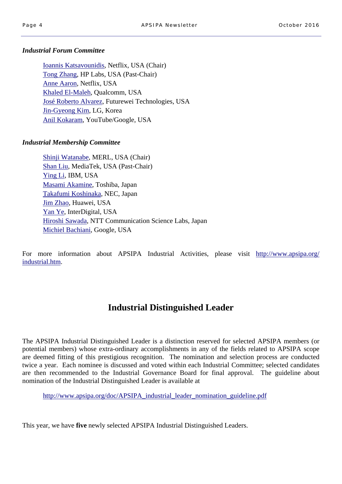#### *Industrial Forum Committee*

Ioannis Katsavounidis, Netflix, USA (Chair) Tong Zhang, HP Labs, USA (Past-Chair) Anne Aaron, Netflix, USA Khaled El-Maleh, Qualcomm, USA José Roberto Alvarez, Futurewei Technologies, USA Jin-Gyeong Kim, LG, Korea Anil Kokaram, YouTube/Google, USA

### *Industrial Membership Committee*

Shinji Watanabe, MERL, USA (Chair) Shan Liu, MediaTek, USA (Past-Chair) Ying Li, IBM, USA Masami Akamine, Toshiba, Japan Takafumi Koshinaka, NEC, Japan Jim Zhao, Huawei, USA Yan Ye, InterDigital, USA Hiroshi Sawada, NTT Communication Science Labs, Japan Michiel Bachiani, Google, USA

For more information about APSIPA Industrial Activities, please visit http://www.apsipa.org/ industrial.htm.

# **Industrial Distinguished Leader**

The APSIPA Industrial Distinguished Leader is a distinction reserved for selected APSIPA members (or potential members) whose extra-ordinary accomplishments in any of the fields related to APSIPA scope are deemed fitting of this prestigious recognition. The nomination and selection process are conducted twice a year. Each nominee is discussed and voted within each Industrial Committee; selected candidates are then recommended to the Industrial Governance Board for final approval. The guideline about nomination of the Industrial Distinguished Leader is available at

http://www.apsipa.org/doc/APSIPA\_industrial\_leader\_nomination\_guideline.pdf

This year, we have **five** newly selected APSIPA Industrial Distinguished Leaders.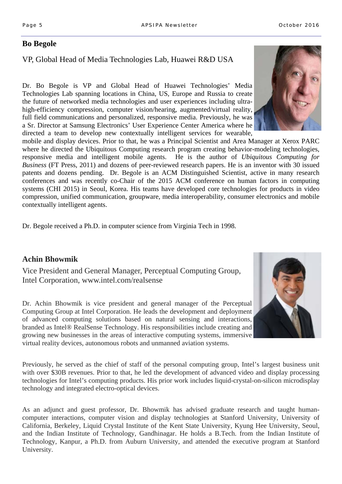## **Bo Begole**

# VP, Global Head of Media Technologies Lab, Huawei R&D USA

Dr. Bo Begole is VP and Global Head of Huawei Technologies' Media Technologies Lab spanning locations in China, US, Europe and Russia to create the future of networked media technologies and user experiences including ultrahigh-efficiency compression, computer vision/hearing, augmented/virtual reality, full field communications and personalized, responsive media. Previously, he was a Sr. Director at Samsung Electronics' User Experience Center America where he directed a team to develop new contextually intelligent services for wearable,

mobile and display devices. Prior to that, he was a Principal Scientist and Area Manager at Xerox PARC where he directed the Ubiquitous Computing research program creating behavior-modeling technologies, responsive media and intelligent mobile agents. He is the author of *Ubiquitous Computing for Business* (FT Press, 2011) and dozens of peer-reviewed research papers. He is an inventor with 30 issued patents and dozens pending. Dr. Begole is an ACM Distinguished Scientist, active in many research conferences and was recently co-Chair of the 2015 ACM conference on human factors in computing systems (CHI 2015) in Seoul, Korea. His teams have developed core technologies for products in video compression, unified communication, groupware, media interoperability, consumer electronics and mobile contextually intelligent agents.

Dr. Begole received a Ph.D. in computer science from Virginia Tech in 1998.

## **Achin Bhowmik**

Vice President and General Manager, Perceptual Computing Group, Intel Corporation, www.intel.com/realsense

Dr. Achin Bhowmik is vice president and general manager of the Perceptual Computing Group at Intel Corporation. He leads the development and deployment of advanced computing solutions based on natural sensing and interactions, branded as Intel® RealSense Technology. His responsibilities include creating and growing new businesses in the areas of interactive computing systems, immersive virtual reality devices, autonomous robots and unmanned aviation systems.

Previously, he served as the chief of staff of the personal computing group, Intel's largest business unit with over \$30B revenues. Prior to that, he led the development of advanced video and display processing technologies for Intel's computing products. His prior work includes liquid-crystal-on-silicon microdisplay technology and integrated electro-optical devices.

As an adjunct and guest professor, Dr. Bhowmik has advised graduate research and taught humancomputer interactions, computer vision and display technologies at Stanford University, University of California, Berkeley, Liquid Crystal Institute of the Kent State University, Kyung Hee University, Seoul, and the Indian Institute of Technology, Gandhinagar. He holds a B.Tech. from the Indian Institute of Technology, Kanpur, a Ph.D. from Auburn University, and attended the executive program at Stanford University.



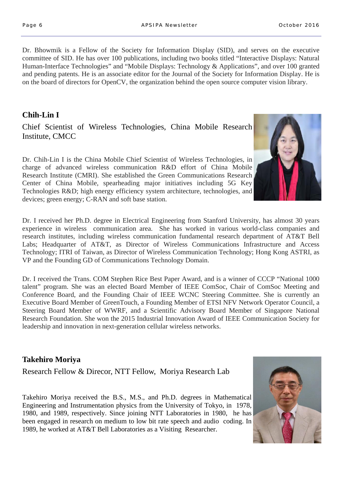Dr. Bhowmik is a Fellow of the Society for Information Display (SID), and serves on the executive committee of SID. He has over 100 publications, including two books titled "Interactive Displays: Natural Human-Interface Technologies" and "Mobile Displays: Technology & Applications", and over 100 granted and pending patents. He is an associate editor for the Journal of the Society for Information Display. He is on the board of directors for OpenCV, the organization behind the open source computer vision library.

# **Chih-Lin I**

Chief Scientist of Wireless Technologies, China Mobile Research Institute, CMCC

Dr. Chih-Lin I is the China Mobile Chief Scientist of Wireless Technologies, in charge of advanced wireless communication R&D effort of China Mobile Research Institute (CMRI). She established the Green Communications Research Center of China Mobile, spearheading major initiatives including 5G Key Technologies R&D; high energy efficiency system architecture, technologies, and devices; green energy; C-RAN and soft base station.

Dr. I received her Ph.D. degree in Electrical Engineering from Stanford University, has almost 30 years experience in wireless communication area. She has worked in various world-class companies and research institutes, including wireless communication fundamental research department of AT&T Bell Labs; Headquarter of AT&T, as Director of Wireless Communications Infrastructure and Access Technology; ITRI of Taiwan, as Director of Wireless Communication Technology; Hong Kong ASTRI, as VP and the Founding GD of Communications Technology Domain.

Dr. I received the Trans. COM Stephen Rice Best Paper Award, and is a winner of CCCP "National 1000 talent" program. She was an elected Board Member of IEEE ComSoc, Chair of ComSoc Meeting and Conference Board, and the Founding Chair of IEEE WCNC Steering Committee. She is currently an Executive Board Member of GreenTouch, a Founding Member of ETSI NFV Network Operator Council, a Steering Board Member of WWRF, and a Scientific Advisory Board Member of Singapore National Research Foundation. She won the 2015 Industrial Innovation Award of IEEE Communication Society for leadership and innovation in next-generation cellular wireless networks.

## **Takehiro Moriya**

Research Fellow & Direcor, NTT Fellow, Moriya Research Lab

Takehiro Moriya received the B.S., M.S., and Ph.D. degrees in Mathematical Engineering and Instrumentation physics from the University of Tokyo, in 1978, 1980, and 1989, respectively. Since joining NTT Laboratories in 1980, he has been engaged in research on medium to low bit rate speech and audio coding. In 1989, he worked at AT&T Bell Laboratories as a Visiting Researcher.



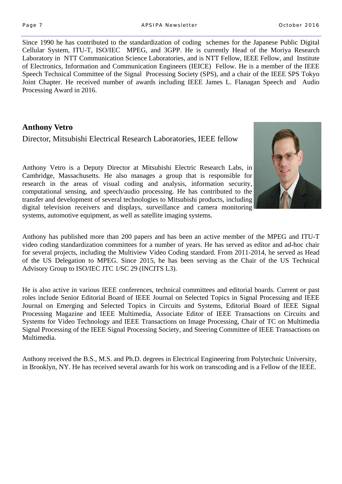Since 1990 he has contributed to the standardization of coding schemes for the Japanese Public Digital Cellular System, ITU-T, ISO/IEC MPEG, and 3GPP. He is currently Head of the Moriya Research Laboratory in NTT Communication Science Laboratories, and is NTT Fellow, IEEE Fellow, and Institute of Electronics, Information and Communication Engineers (IEICE) Fellow. He is a member of the IEEE Speech Technical Committee of the Signal Processing Society (SPS), and a chair of the IEEE SPS Tokyo Joint Chapter. He received number of awards including IEEE James L. Flanagan Speech and Audio Processing Award in 2016.

# **Anthony Vetro**

Director, Mitsubishi Electrical Research Laboratories, IEEE fellow

Anthony Vetro is a Deputy Director at Mitsubishi Electric Research Labs, in Cambridge, Massachusetts. He also manages a group that is responsible for research in the areas of visual coding and analysis, information security, computational sensing, and speech/audio processing. He has contributed to the transfer and development of several technologies to Mitsubishi products, including digital television receivers and displays, surveillance and camera monitoring systems, automotive equipment, as well as satellite imaging systems.



Anthony has published more than 200 papers and has been an active member of the MPEG and ITU-T video coding standardization committees for a number of years. He has served as editor and ad-hoc chair for several projects, including the Multiview Video Coding standard. From 2011-2014, he served as Head of the US Delegation to MPEG. Since 2015, he has been serving as the Chair of the US Technical Advisory Group to ISO/IEC JTC 1/SC 29 (INCITS L3).

He is also active in various IEEE conferences, technical committees and editorial boards. Current or past roles include Senior Editorial Board of IEEE Journal on Selected Topics in Signal Processing and IEEE Journal on Emerging and Selected Topics in Circuits and Systems, Editorial Board of IEEE Signal Processing Magazine and IEEE Multimedia, Associate Editor of IEEE Transactions on Circuits and Systems for Video Technology and IEEE Transactions on Image Processing, Chair of TC on Multimedia Signal Processing of the IEEE Signal Processing Society, and Steering Committee of IEEE Transactions on Multimedia.

Anthony received the B.S., M.S. and Ph.D. degrees in Electrical Engineering from Polytechnic University, in Brooklyn, NY. He has received several awards for his work on transcoding and is a Fellow of the IEEE.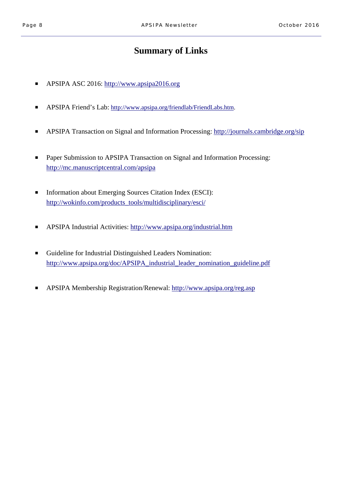# **Summary of Links**

- APSIPA ASC 2016: http://www.apsipa2016.org
- APSIPA Friend's Lab: http://www.apsipa.org/friendlab/FriendLabs.htm.
- APSIPA Transaction on Signal and Information Processing: http://journals.cambridge.org/sip
- Paper Submission to APSIPA Transaction on Signal and Information Processing: http://mc.manuscriptcentral.com/apsipa
- Information about Emerging Sources Citation Index (ESCI): http://wokinfo.com/products\_tools/multidisciplinary/esci/
- APSIPA Industrial Activities: http://www.apsipa.org/industrial.htm
- Guideline for Industrial Distinguished Leaders Nomination: http://www.apsipa.org/doc/APSIPA\_industrial\_leader\_nomination\_guideline.pdf
- APSIPA Membership Registration/Renewal: http://www.apsipa.org/reg.asp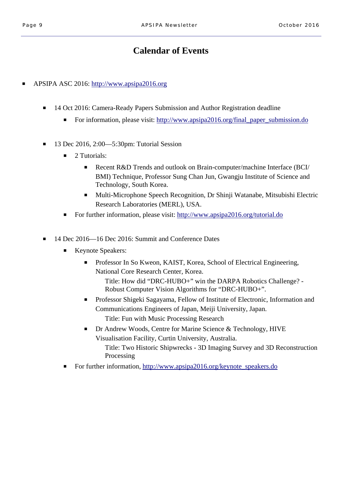# **Calendar of Events**

■ APSIPA ASC 2016: http://www.apsipa2016.org

- 14 Oct 2016: Camera-Ready Papers Submission and Author Registration deadline
	- For information, please visit: http://www.apsipa2016.org/final\_paper\_submission.do
- 13 Dec 2016, 2:00—5:30pm: Tutorial Session
	- 2 Tutorials:
		- Recent R&D Trends and outlook on Brain-computer/machine Interface (BCI/ BMI) Technique, Professor Sung Chan Jun, Gwangju Institute of Science and Technology, South Korea.
		- Multi-Microphone Speech Recognition, Dr Shinji Watanabe, Mitsubishi Electric Research Laboratories (MERL), USA.
	- For further information, please visit: http://www.apsipa2016.org/tutorial.do
- 14 Dec 2016—16 Dec 2016: Summit and Conference Dates
	- Keynote Speakers:
		- Professor In So Kweon, KAIST, Korea, School of Electrical Engineering, National Core Research Center, Korea.

 Title: How did "DRC-HUBO+" win the DARPA Robotics Challenge? - Robust Computer Vision Algorithms for "DRC-HUBO+".

- Professor Shigeki Sagayama, Fellow of Institute of Electronic, Information and Communications Engineers of Japan, Meiji University, Japan. Title: Fun with Music Processing Research
- Dr Andrew Woods, Centre for Marine Science & Technology, HIVE Visualisation Facility, Curtin University, Australia. Title: Two Historic Shipwrecks - 3D Imaging Survey and 3D Reconstruction Processing
- For further information, http://www.apsipa2016.org/keynote\_speakers.do